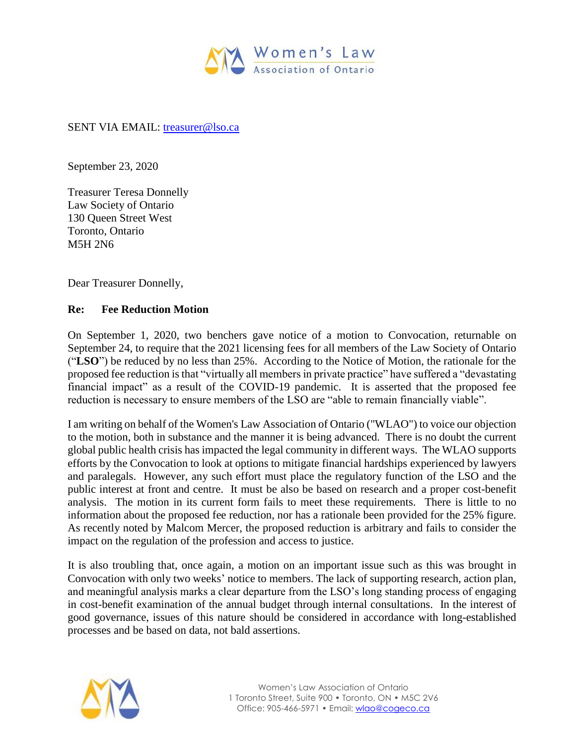

## SENT VIA EMAIL: [treasurer@lso.ca](mailto:treasurer@lso.ca)

September 23, 2020

Treasurer Teresa Donnelly Law Society of Ontario 130 Queen Street West Toronto, Ontario M5H 2N6

Dear Treasurer Donnelly,

## **Re: Fee Reduction Motion**

On September 1, 2020, two benchers gave notice of a motion to Convocation, returnable on September 24, to require that the 2021 licensing fees for all members of the Law Society of Ontario ("**LSO**") be reduced by no less than 25%. According to the Notice of Motion, the rationale for the proposed fee reduction is that "virtually all members in private practice" have suffered a "devastating financial impact" as a result of the COVID-19 pandemic. It is asserted that the proposed fee reduction is necessary to ensure members of the LSO are "able to remain financially viable".

I am writing on behalf of the Women's Law Association of Ontario ("WLAO") to voice our objection to the motion, both in substance and the manner it is being advanced. There is no doubt the current global public health crisis has impacted the legal community in different ways. The WLAO supports efforts by the Convocation to look at options to mitigate financial hardships experienced by lawyers and paralegals. However, any such effort must place the regulatory function of the LSO and the public interest at front and centre. It must be also be based on research and a proper cost-benefit analysis. The motion in its current form fails to meet these requirements. There is little to no information about the proposed fee reduction, nor has a rationale been provided for the 25% figure. As recently noted by Malcom Mercer, the proposed reduction is arbitrary and fails to consider the impact on the regulation of the profession and access to justice.

It is also troubling that, once again, a motion on an important issue such as this was brought in Convocation with only two weeks' notice to members. The lack of supporting research, action plan, and meaningful analysis marks a clear departure from the LSO's long standing process of engaging in cost-benefit examination of the annual budget through internal consultations. In the interest of good governance, issues of this nature should be considered in accordance with long-established processes and be based on data, not bald assertions.